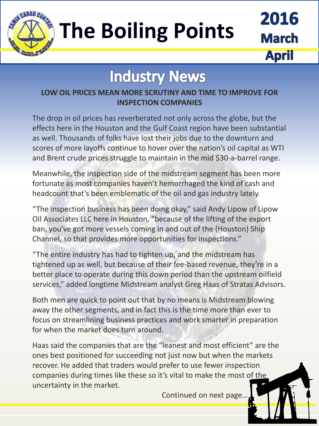

## **The Boiling Points**

2016 March **April** 

### **Industry News**

#### **LOW OIL PRICES MEAN MORE SCRUTINY AND TIME TO IMPROVE FOR INSPECTION COMPANIES**

The drop in oil prices has reverberated not only across the globe, but the effects here in the Houston and the Gulf Coast region have been substantial as well. Thousands of folks have lost their jobs due to the downturn and scores of more layoffs continue to hover over the nation's oil capital as WTI and Brent crude prices struggle to maintain in the mid \$30-a-barrel range.

Meanwhile, the inspection side of the midstream segment has been more fortunate as most companies haven't hemorrhaged the kind of cash and headcount that's been emblematic of the oil and gas industry lately.

"The inspection business has been doing okay," said Andy Lipow of Lipow Oil Associates LLC here in Houston, "because of the lifting of the export ban, you've got more vessels coming in and out of the (Houston) Ship Channel, so that provides more opportunities for inspections."

"The entire industry has had to tighten up, and the midstream has tightened up as well, but because of their fee-based revenue, they're in a better place to operate during this down period than the upstream oilfield services," added longtime Midstream analyst Greg Haas of Stratas Advisors.

Both men are quick to point out that by no means is Midstream blowing away the other segments, and in fact this is the time more than ever to focus on streamlining business practices and work smarter in preparation for when the market does turn around.

Haas said the companies that are the "leanest and most efficient" are the ones best positioned for succeeding not just now but when the markets recover. He added that traders would prefer to use fewer inspection companies during times like these so it's vital to make the most of the uncertainty in the market.

Continued on next page…